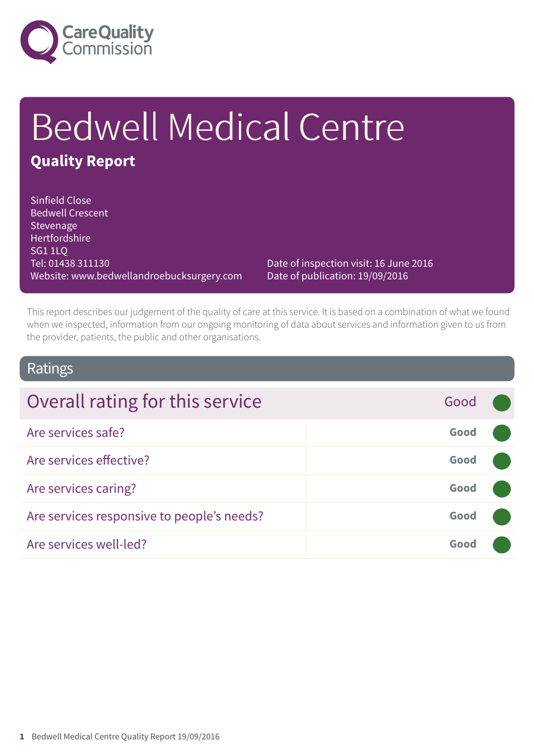

# Bedwell Medical Centre **Quality Report**

#### Sinfield Close Bedwell Crescent **Stevenage** Hertfordshire SG1 1LQ Tel: 01438 311130 Website: www.bedwellandroebucksurgery.com

Date of inspection visit: 16 June 2016 Date of publication: 19/09/2016

This report describes our judgement of the quality of care at this service. It is based on a combination of what we found when we inspected, information from our ongoing monitoring of data about services and information given to us from the provider, patients, the public and other organisations.

### Ratings

| Overall rating for this service            | Good |  |
|--------------------------------------------|------|--|
| Are services safe?                         | Good |  |
| Are services effective?                    | Good |  |
| Are services caring?                       | Good |  |
| Are services responsive to people's needs? | Good |  |
| Are services well-led?                     | Good |  |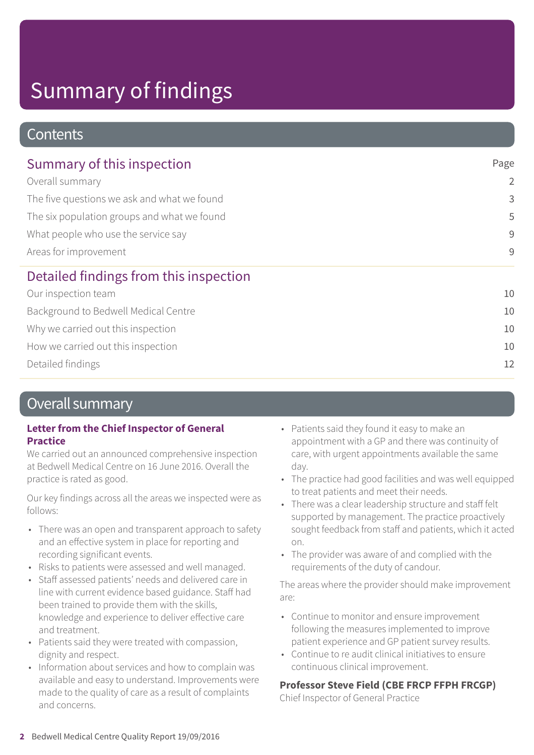### **Contents**

| Summary of this inspection                                                                                                                                                    | Page           |
|-------------------------------------------------------------------------------------------------------------------------------------------------------------------------------|----------------|
| Overall summary<br>The five questions we ask and what we found<br>The six population groups and what we found<br>What people who use the service say<br>Areas for improvement | $\overline{2}$ |
|                                                                                                                                                                               | 3              |
|                                                                                                                                                                               | 5              |
|                                                                                                                                                                               | 9              |
|                                                                                                                                                                               | $\overline{9}$ |
| Detailed findings from this inspection                                                                                                                                        |                |
| Our inspection team                                                                                                                                                           | 10             |
| Background to Bedwell Medical Centre                                                                                                                                          | 10             |
| Why we carried out this inspection                                                                                                                                            | 10             |
| How we carried out this inspection                                                                                                                                            | 10             |
| Detailed findings                                                                                                                                                             | 12             |

### Overall summary

#### **Letter from the Chief Inspector of General Practice**

We carried out an announced comprehensive inspection at Bedwell Medical Centre on 16 June 2016. Overall the practice is rated as good.

Our key findings across all the areas we inspected were as follows:

- There was an open and transparent approach to safety and an effective system in place for reporting and recording significant events.
- Risks to patients were assessed and well managed.
- Staff assessed patients' needs and delivered care in line with current evidence based guidance. Staff had been trained to provide them with the skills, knowledge and experience to deliver effective care and treatment.
- Patients said they were treated with compassion, dignity and respect.
- Information about services and how to complain was available and easy to understand. Improvements were made to the quality of care as a result of complaints and concerns.
- Patients said they found it easy to make an appointment with a GP and there was continuity of care, with urgent appointments available the same day.
- The practice had good facilities and was well equipped to treat patients and meet their needs.
- There was a clear leadership structure and staff felt supported by management. The practice proactively sought feedback from staff and patients, which it acted on.
- The provider was aware of and complied with the requirements of the duty of candour.

The areas where the provider should make improvement are:

- Continue to monitor and ensure improvement following the measures implemented to improve patient experience and GP patient survey results.
- Continue to re audit clinical initiatives to ensure continuous clinical improvement.

#### **Professor Steve Field (CBE FRCP FFPH FRCGP)**

Chief Inspector of General Practice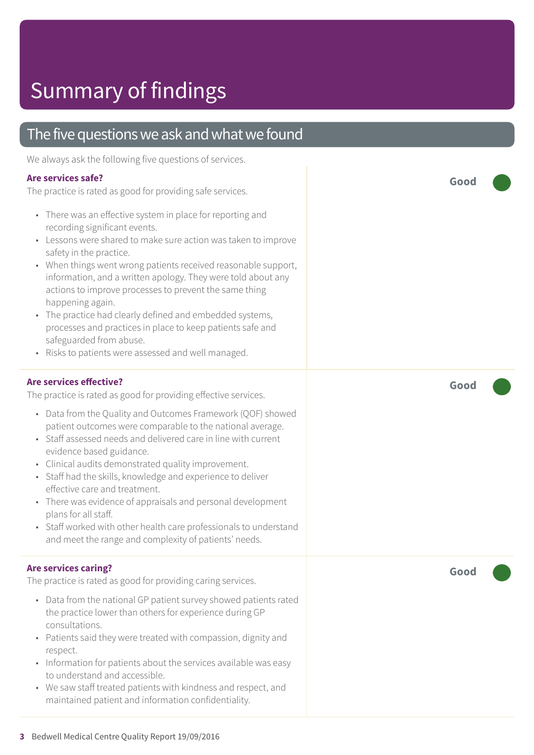### The five questions we ask and what we found

We always ask the following five questions of services.

#### **Are services safe?**

The practice is rated as good for providing safe services.

- There was an effective system in place for reporting and recording significant events.
- Lessons were shared to make sure action was taken to improve safety in the practice.
- When things went wrong patients received reasonable support, information, and a written apology. They were told about any actions to improve processes to prevent the same thing happening again.
- The practice had clearly defined and embedded systems, processes and practices in place to keep patients safe and safeguarded from abuse.
- Risks to patients were assessed and well managed.

#### **Are services effective?**

The practice is rated as good for providing effective services.

- Data from the Quality and Outcomes Framework (QOF) showed patient outcomes were comparable to the national average.
- Staff assessed needs and delivered care in line with current evidence based guidance.
- Clinical audits demonstrated quality improvement.
- Staff had the skills, knowledge and experience to deliver effective care and treatment.
- There was evidence of appraisals and personal development plans for all staff.
- Staff worked with other health care professionals to understand and meet the range and complexity of patients' needs.

#### **Are services caring?**

The practice is rated as good for providing caring services.

- Data from the national GP patient survey showed patients rated the practice lower than others for experience during GP consultations.
- Patients said they were treated with compassion, dignity and respect.
- Information for patients about the services available was easy to understand and accessible.
- We saw staff treated patients with kindness and respect, and maintained patient and information confidentiality.

**Good –––**

**Good –––**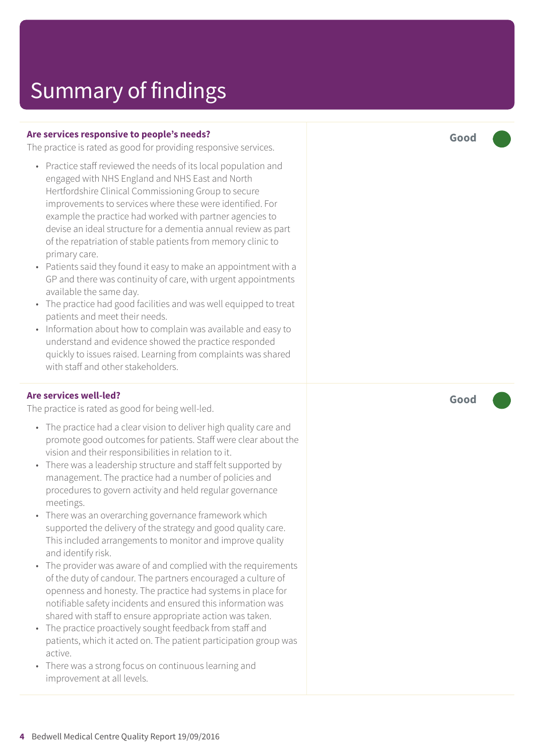#### **Are services responsive to people's needs?**

The practice is rated as good for providing responsive services.

- Practice staff reviewed the needs of its local population and engaged with NHS England and NHS East and North Hertfordshire Clinical Commissioning Group to secure improvements to services where these were identified. For example the practice had worked with partner agencies to devise an ideal structure for a dementia annual review as part of the repatriation of stable patients from memory clinic to primary care.
- Patients said they found it easy to make an appointment with a GP and there was continuity of care, with urgent appointments available the same day.
- The practice had good facilities and was well equipped to treat patients and meet their needs.
- Information about how to complain was available and easy to understand and evidence showed the practice responded quickly to issues raised. Learning from complaints was shared with staff and other stakeholders.

#### **Are services well-led?**

The practice is rated as good for being well-led.

- The practice had a clear vision to deliver high quality care and promote good outcomes for patients. Staff were clear about the vision and their responsibilities in relation to it.
- There was a leadership structure and staff felt supported by management. The practice had a number of policies and procedures to govern activity and held regular governance meetings.
- There was an overarching governance framework which supported the delivery of the strategy and good quality care. This included arrangements to monitor and improve quality and identify risk.
- The provider was aware of and complied with the requirements of the duty of candour. The partners encouraged a culture of openness and honesty. The practice had systems in place for notifiable safety incidents and ensured this information was shared with staff to ensure appropriate action was taken.
- The practice proactively sought feedback from staff and patients, which it acted on. The patient participation group was active.
- There was a strong focus on continuous learning and improvement at all levels.

**Good –––**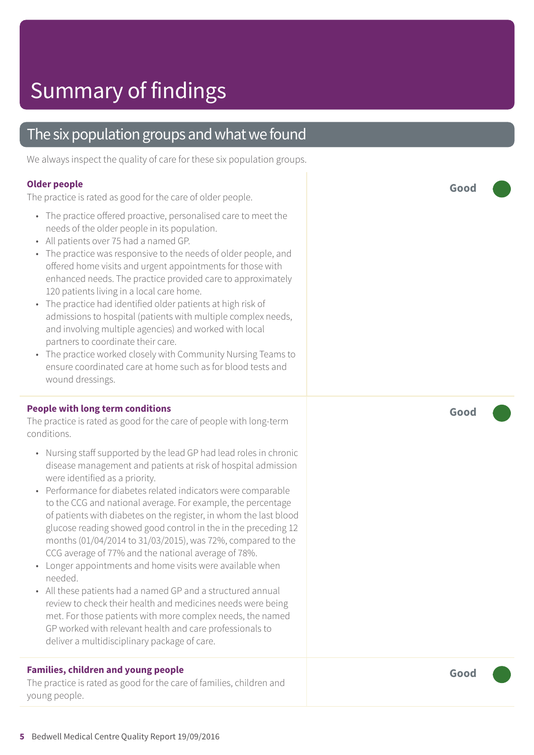### The six population groups and what we found

We always inspect the quality of care for these six population groups.

#### **Older people**

The practice is rated as good for the care of older people.

- The practice offered proactive, personalised care to meet the needs of the older people in its population.
- All patients over 75 had a named GP.
- The practice was responsive to the needs of older people, and offered home visits and urgent appointments for those with enhanced needs. The practice provided care to approximately 120 patients living in a local care home.
- The practice had identified older patients at high risk of admissions to hospital (patients with multiple complex needs, and involving multiple agencies) and worked with local partners to coordinate their care.
- The practice worked closely with Community Nursing Teams to ensure coordinated care at home such as for blood tests and wound dressings.

#### **People with long term conditions**

The practice is rated as good for the care of people with long-term conditions.

- Nursing staff supported by the lead GP had lead roles in chronic disease management and patients at risk of hospital admission were identified as a priority.
- Performance for diabetes related indicators were comparable to the CCG and national average. For example, the percentage of patients with diabetes on the register, in whom the last blood glucose reading showed good control in the in the preceding 12 months (01/04/2014 to 31/03/2015), was 72%, compared to the CCG average of 77% and the national average of 78%.
- Longer appointments and home visits were available when needed.
- All these patients had a named GP and a structured annual review to check their health and medicines needs were being met. For those patients with more complex needs, the named GP worked with relevant health and care professionals to deliver a multidisciplinary package of care.

#### **Families, children and young people**

The practice is rated as good for the care of families, children and young people.

**Good –––**

**Good –––**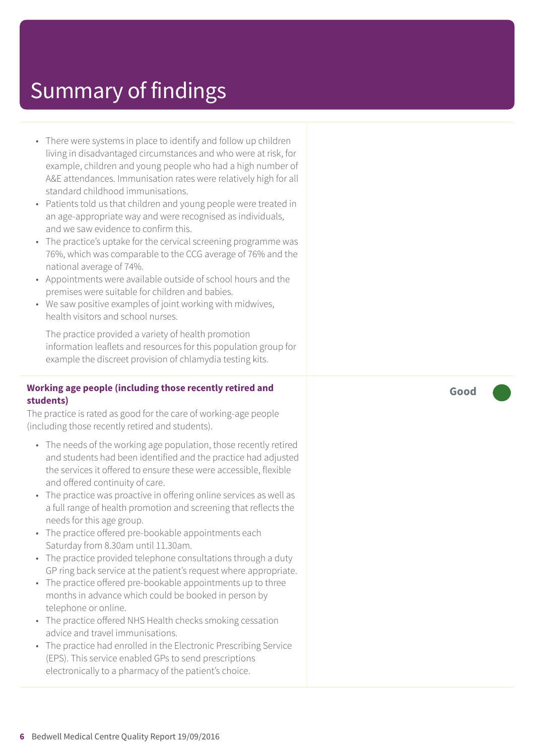- There were systems in place to identify and follow up children living in disadvantaged circumstances and who were at risk, for example, children and young people who had a high number of A&E attendances. Immunisation rates were relatively high for all standard childhood immunisations.
- Patients told us that children and young people were treated in an age-appropriate way and were recognised as individuals, and we saw evidence to confirm this.
- The practice's uptake for the cervical screening programme was 76%, which was comparable to the CCG average of 76% and the national average of 74%.
- Appointments were available outside of school hours and the premises were suitable for children and babies.
- We saw positive examples of joint working with midwives, health visitors and school nurses.

The practice provided a variety of health promotion information leaflets and resources for this population group for example the discreet provision of chlamydia testing kits.

#### **Working age people (including those recently retired and students)**

The practice is rated as good for the care of working-age people (including those recently retired and students).

- The needs of the working age population, those recently retired and students had been identified and the practice had adjusted the services it offered to ensure these were accessible, flexible and offered continuity of care.
- The practice was proactive in offering online services as well as a full range of health promotion and screening that reflects the needs for this age group.
- The practice offered pre-bookable appointments each Saturday from 8.30am until 11.30am.
- The practice provided telephone consultations through a duty GP ring back service at the patient's request where appropriate.
- The practice offered pre-bookable appointments up to three months in advance which could be booked in person by telephone or online.
- The practice offered NHS Health checks smoking cessation advice and travel immunisations.
- The practice had enrolled in the Electronic Prescribing Service (EPS). This service enabled GPs to send prescriptions electronically to a pharmacy of the patient's choice.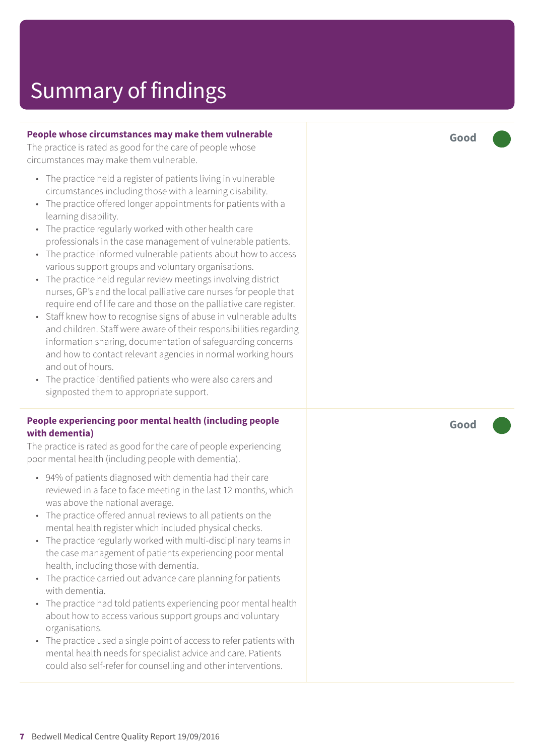#### **People whose circumstances may make them vulnerable**

The practice is rated as good for the care of people whose circumstances may make them vulnerable.

- The practice held a register of patients living in vulnerable circumstances including those with a learning disability.
- The practice offered longer appointments for patients with a learning disability.
- The practice regularly worked with other health care professionals in the case management of vulnerable patients.
- The practice informed vulnerable patients about how to access various support groups and voluntary organisations.
- The practice held regular review meetings involving district nurses, GP's and the local palliative care nurses for people that require end of life care and those on the palliative care register.
- Staff knew how to recognise signs of abuse in vulnerable adults and children. Staff were aware of their responsibilities regarding information sharing, documentation of safeguarding concerns and how to contact relevant agencies in normal working hours and out of hours.
- The practice identified patients who were also carers and signposted them to appropriate support.

#### **People experiencing poor mental health (including people with dementia)**

The practice is rated as good for the care of people experiencing poor mental health (including people with dementia).

- 94% of patients diagnosed with dementia had their care reviewed in a face to face meeting in the last 12 months, which was above the national average.
- The practice offered annual reviews to all patients on the mental health register which included physical checks.
- The practice regularly worked with multi-disciplinary teams in the case management of patients experiencing poor mental health, including those with dementia.
- The practice carried out advance care planning for patients with dementia.
- The practice had told patients experiencing poor mental health about how to access various support groups and voluntary organisations.
- The practice used a single point of access to refer patients with mental health needs for specialist advice and care. Patients could also self-refer for counselling and other interventions.

**Good –––**

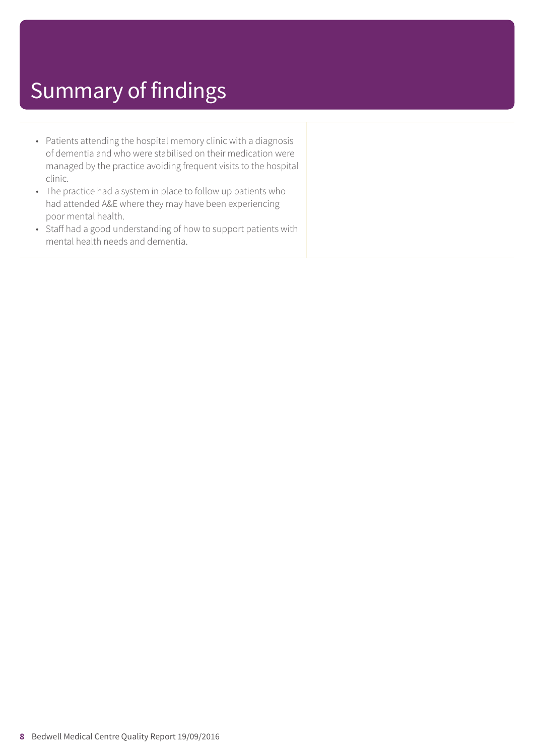- Patients attending the hospital memory clinic with a diagnosis of dementia and who were stabilised on their medication were managed by the practice avoiding frequent visits to the hospital clinic.
- The practice had a system in place to follow up patients who had attended A&E where they may have been experiencing poor mental health.
- Staff had a good understanding of how to support patients with mental health needs and dementia.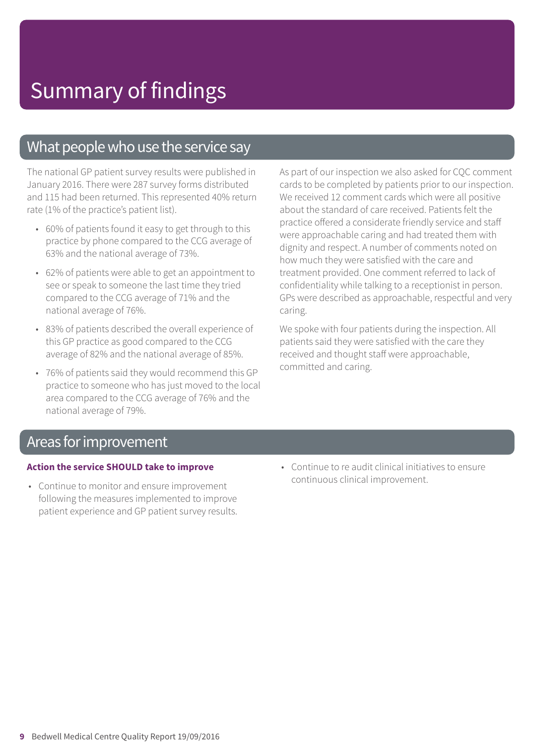### What people who use the service say

The national GP patient survey results were published in January 2016. There were 287 survey forms distributed and 115 had been returned. This represented 40% return rate (1% of the practice's patient list).

- 60% of patients found it easy to get through to this practice by phone compared to the CCG average of 63% and the national average of 73%.
- 62% of patients were able to get an appointment to see or speak to someone the last time they tried compared to the CCG average of 71% and the national average of 76%.
- 83% of patients described the overall experience of this GP practice as good compared to the CCG average of 82% and the national average of 85%.
- 76% of patients said they would recommend this GP practice to someone who has just moved to the local area compared to the CCG average of 76% and the national average of 79%.

As part of our inspection we also asked for CQC comment cards to be completed by patients prior to our inspection. We received 12 comment cards which were all positive about the standard of care received. Patients felt the practice offered a considerate friendly service and staff were approachable caring and had treated them with dignity and respect. A number of comments noted on how much they were satisfied with the care and treatment provided. One comment referred to lack of confidentiality while talking to a receptionist in person. GPs were described as approachable, respectful and very caring.

We spoke with four patients during the inspection. All patients said they were satisfied with the care they received and thought staff were approachable, committed and caring.

### Areas for improvement

#### **Action the service SHOULD take to improve**

- Continue to monitor and ensure improvement following the measures implemented to improve patient experience and GP patient survey results.
- Continue to re audit clinical initiatives to ensure continuous clinical improvement.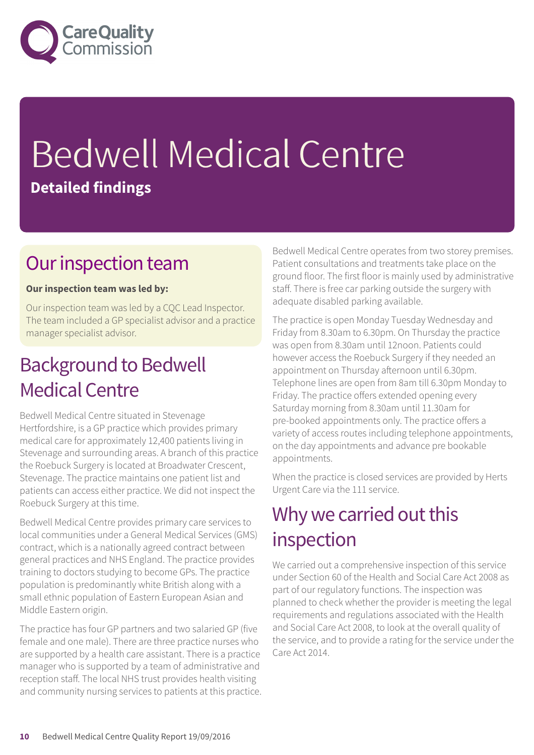

# Bedwell Medical Centre **Detailed findings**

### Our inspection team

#### **Our inspection team was led by:**

Our inspection team was led by a CQC Lead Inspector. The team included a GP specialist advisor and a practice manager specialist advisor.

### **Background to Bedwell** Medical Centre

Bedwell Medical Centre situated in Stevenage Hertfordshire, is a GP practice which provides primary medical care for approximately 12,400 patients living in Stevenage and surrounding areas. A branch of this practice the Roebuck Surgery is located at Broadwater Crescent, Stevenage. The practice maintains one patient list and patients can access either practice. We did not inspect the Roebuck Surgery at this time.

Bedwell Medical Centre provides primary care services to local communities under a General Medical Services (GMS) contract, which is a nationally agreed contract between general practices and NHS England. The practice provides training to doctors studying to become GPs. The practice population is predominantly white British along with a small ethnic population of Eastern European Asian and Middle Eastern origin.

The practice has four GP partners and two salaried GP (five female and one male). There are three practice nurses who are supported by a health care assistant. There is a practice manager who is supported by a team of administrative and reception staff. The local NHS trust provides health visiting and community nursing services to patients at this practice. Bedwell Medical Centre operates from two storey premises. Patient consultations and treatments take place on the ground floor. The first floor is mainly used by administrative staff. There is free car parking outside the surgery with adequate disabled parking available.

The practice is open Monday Tuesday Wednesday and Friday from 8.30am to 6.30pm. On Thursday the practice was open from 8.30am until 12noon. Patients could however access the Roebuck Surgery if they needed an appointment on Thursday afternoon until 6.30pm. Telephone lines are open from 8am till 6.30pm Monday to Friday. The practice offers extended opening every Saturday morning from 8.30am until 11.30am for pre-booked appointments only. The practice offers a variety of access routes including telephone appointments, on the day appointments and advance pre bookable appointments.

When the practice is closed services are provided by Herts Urgent Care via the 111 service.

### Why we carried out this inspection

We carried out a comprehensive inspection of this service under Section 60 of the Health and Social Care Act 2008 as part of our regulatory functions. The inspection was planned to check whether the provider is meeting the legal requirements and regulations associated with the Health and Social Care Act 2008, to look at the overall quality of the service, and to provide a rating for the service under the Care Act 2014.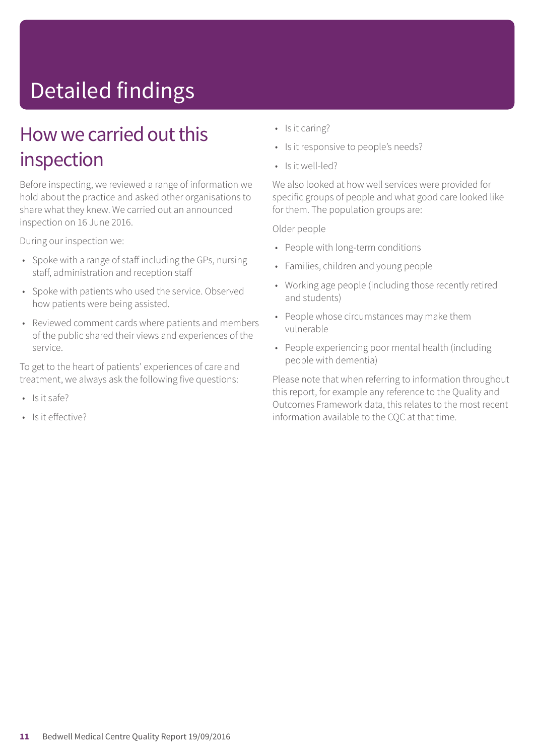# Detailed findings

### How we carried out this inspection

Before inspecting, we reviewed a range of information we hold about the practice and asked other organisations to share what they knew. We carried out an announced inspection on 16 June 2016.

During our inspection we:

- Spoke with a range of staff including the GPs, nursing staff, administration and reception staff
- Spoke with patients who used the service. Observed how patients were being assisted.
- Reviewed comment cards where patients and members of the public shared their views and experiences of the service.

To get to the heart of patients' experiences of care and treatment, we always ask the following five questions:

- Is it safe?
- Is it effective?
- Is it caring?
- Is it responsive to people's needs?
- Is it well-led?

We also looked at how well services were provided for specific groups of people and what good care looked like for them. The population groups are:

Older people

- People with long-term conditions
- Families, children and young people
- Working age people (including those recently retired and students)
- People whose circumstances may make them vulnerable
- People experiencing poor mental health (including people with dementia)

Please note that when referring to information throughout this report, for example any reference to the Quality and Outcomes Framework data, this relates to the most recent information available to the CQC at that time.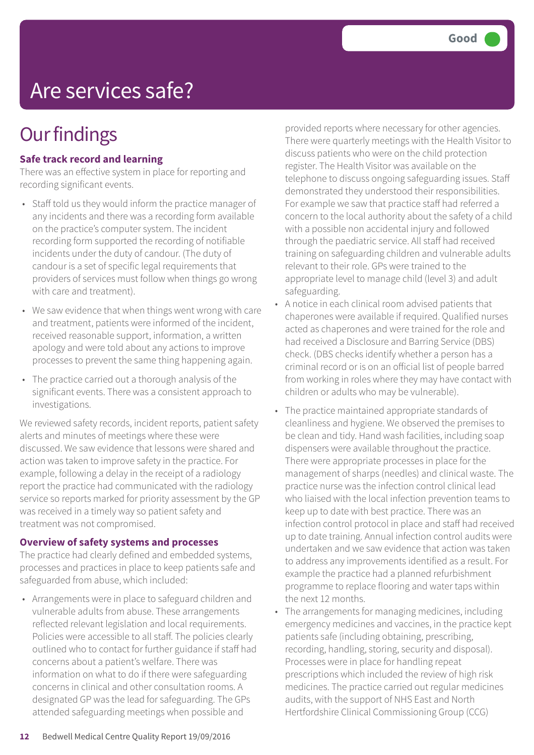## Are services safe?

### **Our findings**

#### **Safe track record and learning**

There was an effective system in place for reporting and recording significant events.

- Staff told us they would inform the practice manager of any incidents and there was a recording form available on the practice's computer system. The incident recording form supported the recording of notifiable incidents under the duty of candour. (The duty of candour is a set of specific legal requirements that providers of services must follow when things go wrong with care and treatment).
- We saw evidence that when things went wrong with care and treatment, patients were informed of the incident, received reasonable support, information, a written apology and were told about any actions to improve processes to prevent the same thing happening again.
- The practice carried out a thorough analysis of the significant events. There was a consistent approach to investigations.

We reviewed safety records, incident reports, patient safety alerts and minutes of meetings where these were discussed. We saw evidence that lessons were shared and action was taken to improve safety in the practice. For example, following a delay in the receipt of a radiology report the practice had communicated with the radiology service so reports marked for priority assessment by the GP was received in a timely way so patient safety and treatment was not compromised.

#### **Overview of safety systems and processes**

The practice had clearly defined and embedded systems, processes and practices in place to keep patients safe and safeguarded from abuse, which included:

• Arrangements were in place to safeguard children and vulnerable adults from abuse. These arrangements reflected relevant legislation and local requirements. Policies were accessible to all staff. The policies clearly outlined who to contact for further guidance if staff had concerns about a patient's welfare. There was information on what to do if there were safeguarding concerns in clinical and other consultation rooms. A designated GP was the lead for safeguarding. The GPs attended safeguarding meetings when possible and

provided reports where necessary for other agencies. There were quarterly meetings with the Health Visitor to discuss patients who were on the child protection register. The Health Visitor was available on the telephone to discuss ongoing safeguarding issues. Staff demonstrated they understood their responsibilities. For example we saw that practice staff had referred a concern to the local authority about the safety of a child with a possible non accidental injury and followed through the paediatric service. All staff had received training on safeguarding children and vulnerable adults relevant to their role. GPs were trained to the appropriate level to manage child (level 3) and adult safeguarding.

- A notice in each clinical room advised patients that chaperones were available if required. Qualified nurses acted as chaperones and were trained for the role and had received a Disclosure and Barring Service (DBS) check. (DBS checks identify whether a person has a criminal record or is on an official list of people barred from working in roles where they may have contact with children or adults who may be vulnerable).
- The practice maintained appropriate standards of cleanliness and hygiene. We observed the premises to be clean and tidy. Hand wash facilities, including soap dispensers were available throughout the practice. There were appropriate processes in place for the management of sharps (needles) and clinical waste. The practice nurse was the infection control clinical lead who liaised with the local infection prevention teams to keep up to date with best practice. There was an infection control protocol in place and staff had received up to date training. Annual infection control audits were undertaken and we saw evidence that action was taken to address any improvements identified as a result. For example the practice had a planned refurbishment programme to replace flooring and water taps within the next 12 months.
- The arrangements for managing medicines, including emergency medicines and vaccines, in the practice kept patients safe (including obtaining, prescribing, recording, handling, storing, security and disposal). Processes were in place for handling repeat prescriptions which included the review of high risk medicines. The practice carried out regular medicines audits, with the support of NHS East and North Hertfordshire Clinical Commissioning Group (CCG)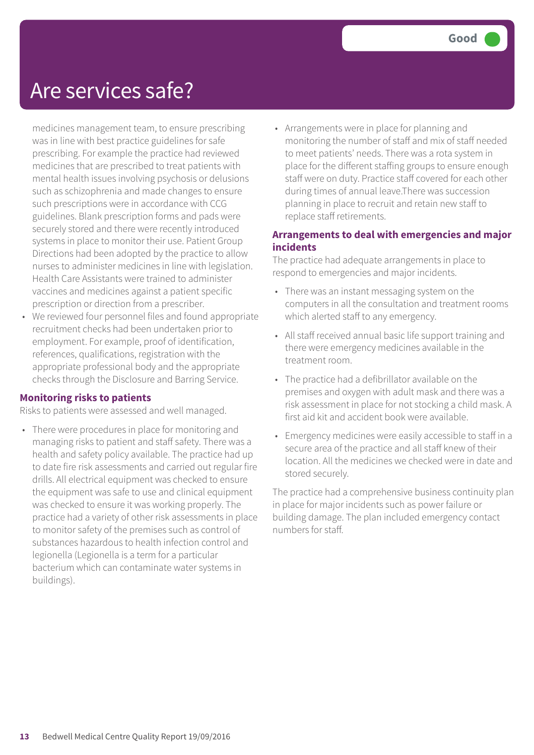### Are services safe?

medicines management team, to ensure prescribing was in line with best practice guidelines for safe prescribing. For example the practice had reviewed medicines that are prescribed to treat patients with mental health issues involving psychosis or delusions such as schizophrenia and made changes to ensure such prescriptions were in accordance with CCG guidelines. Blank prescription forms and pads were securely stored and there were recently introduced systems in place to monitor their use. Patient Group Directions had been adopted by the practice to allow nurses to administer medicines in line with legislation. Health Care Assistants were trained to administer vaccines and medicines against a patient specific prescription or direction from a prescriber.

• We reviewed four personnel files and found appropriate recruitment checks had been undertaken prior to employment. For example, proof of identification, references, qualifications, registration with the appropriate professional body and the appropriate checks through the Disclosure and Barring Service.

#### **Monitoring risks to patients**

Risks to patients were assessed and well managed.

• There were procedures in place for monitoring and managing risks to patient and staff safety. There was a health and safety policy available. The practice had up to date fire risk assessments and carried out regular fire drills. All electrical equipment was checked to ensure the equipment was safe to use and clinical equipment was checked to ensure it was working properly. The practice had a variety of other risk assessments in place to monitor safety of the premises such as control of substances hazardous to health infection control and legionella (Legionella is a term for a particular bacterium which can contaminate water systems in buildings).

• Arrangements were in place for planning and monitoring the number of staff and mix of staff needed to meet patients' needs. There was a rota system in place for the different staffing groups to ensure enough staff were on duty. Practice staff covered for each other during times of annual leave.There was succession planning in place to recruit and retain new staff to replace staff retirements.

#### **Arrangements to deal with emergencies and major incidents**

The practice had adequate arrangements in place to respond to emergencies and major incidents.

- There was an instant messaging system on the computers in all the consultation and treatment rooms which alerted staff to any emergency.
- All staff received annual basic life support training and there were emergency medicines available in the treatment room.
- The practice had a defibrillator available on the premises and oxygen with adult mask and there was a risk assessment in place for not stocking a child mask. A first aid kit and accident book were available.
- Emergency medicines were easily accessible to staff in a secure area of the practice and all staff knew of their location. All the medicines we checked were in date and stored securely.

The practice had a comprehensive business continuity plan in place for major incidents such as power failure or building damage. The plan included emergency contact numbers for staff.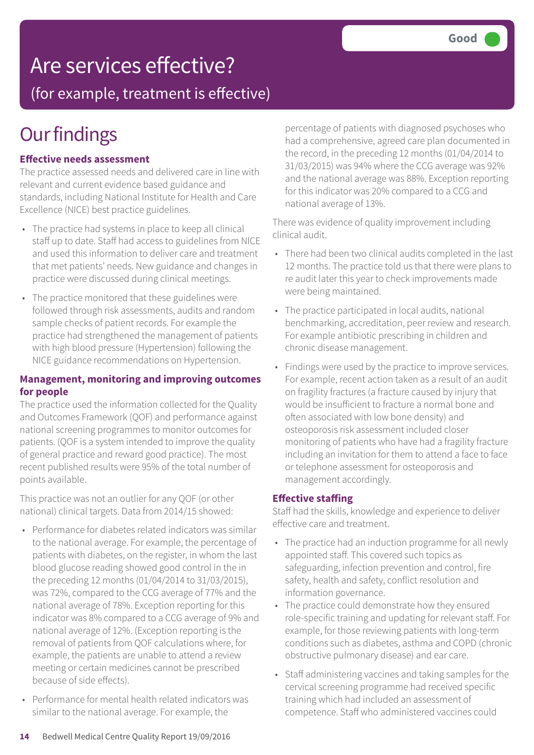## Are services effective?

(for example, treatment is effective)

## **Our findings**

#### **Effective needs assessment**

The practice assessed needs and delivered care in line with relevant and current evidence based guidance and standards, including National Institute for Health and Care Excellence (NICE) best practice guidelines.

- The practice had systems in place to keep all clinical staff up to date. Staff had access to guidelines from NICE and used this information to deliver care and treatment that met patients' needs. New guidance and changes in practice were discussed during clinical meetings.
- The practice monitored that these guidelines were followed through risk assessments, audits and random sample checks of patient records. For example the practice had strengthened the management of patients with high blood pressure (Hypertension) following the NICE guidance recommendations on Hypertension.

#### **Management, monitoring and improving outcomes for people**

The practice used the information collected for the Quality and Outcomes Framework (QOF) and performance against national screening programmes to monitor outcomes for patients. (QOF is a system intended to improve the quality of general practice and reward good practice). The most recent published results were 95% of the total number of points available.

This practice was not an outlier for any QOF (or other national) clinical targets. Data from 2014/15 showed:

- Performance for diabetes related indicators was similar to the national average. For example, the percentage of patients with diabetes, on the register, in whom the last blood glucose reading showed good control in the in the preceding 12 months (01/04/2014 to 31/03/2015), was 72%, compared to the CCG average of 77% and the national average of 78%. Exception reporting for this indicator was 8% compared to a CCG average of 9% and national average of 12%. (Exception reporting is the removal of patients from QOF calculations where, for example, the patients are unable to attend a review meeting or certain medicines cannot be prescribed because of side effects).
- Performance for mental health related indicators was similar to the national average. For example, the

percentage of patients with diagnosed psychoses who had a comprehensive, agreed care plan documented in the record, in the preceding 12 months (01/04/2014 to 31/03/2015) was 94% where the CCG average was 92% and the national average was 88%. Exception reporting for this indicator was 20% compared to a CCG and national average of 13%.

There was evidence of quality improvement including clinical audit.

- There had been two clinical audits completed in the last 12 months. The practice told us that there were plans to re audit later this year to check improvements made were being maintained.
- The practice participated in local audits, national benchmarking, accreditation, peer review and research. For example antibiotic prescribing in children and chronic disease management.
- Findings were used by the practice to improve services. For example, recent action taken as a result of an audit on fragility fractures (a fracture caused by injury that would be insufficient to fracture a normal bone and often associated with low bone density) and osteoporosis risk assessment included closer monitoring of patients who have had a fragility fracture including an invitation for them to attend a face to face or telephone assessment for osteoporosis and management accordingly.

#### **Effective staffing**

Staff had the skills, knowledge and experience to deliver effective care and treatment.

- The practice had an induction programme for all newly appointed staff. This covered such topics as safeguarding, infection prevention and control, fire safety, health and safety, conflict resolution and information governance.
- The practice could demonstrate how they ensured role-specific training and updating for relevant staff. For example, for those reviewing patients with long-term conditions such as diabetes, asthma and COPD (chronic obstructive pulmonary disease) and ear care.
- Staff administering vaccines and taking samples for the cervical screening programme had received specific training which had included an assessment of competence. Staff who administered vaccines could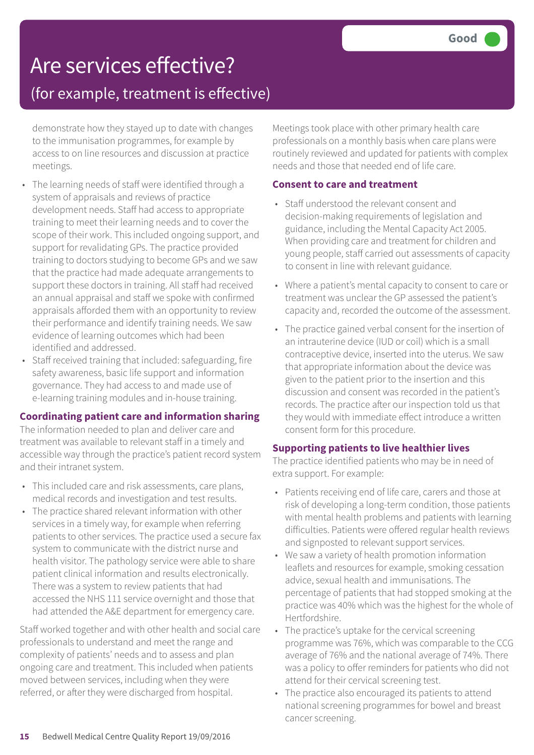# Are services effective?

### (for example, treatment is effective)

demonstrate how they stayed up to date with changes to the immunisation programmes, for example by access to on line resources and discussion at practice meetings.

- The learning needs of staff were identified through a system of appraisals and reviews of practice development needs. Staff had access to appropriate training to meet their learning needs and to cover the scope of their work. This included ongoing support, and support for revalidating GPs. The practice provided training to doctors studying to become GPs and we saw that the practice had made adequate arrangements to support these doctors in training. All staff had received an annual appraisal and staff we spoke with confirmed appraisals afforded them with an opportunity to review their performance and identify training needs. We saw evidence of learning outcomes which had been identified and addressed.
- Staff received training that included: safeguarding, fire safety awareness, basic life support and information governance. They had access to and made use of e-learning training modules and in-house training.

#### **Coordinating patient care and information sharing**

The information needed to plan and deliver care and treatment was available to relevant staff in a timely and accessible way through the practice's patient record system and their intranet system.

- This included care and risk assessments, care plans, medical records and investigation and test results.
- The practice shared relevant information with other services in a timely way, for example when referring patients to other services. The practice used a secure fax system to communicate with the district nurse and health visitor. The pathology service were able to share patient clinical information and results electronically. There was a system to review patients that had accessed the NHS 111 service overnight and those that had attended the A&E department for emergency care.

Staff worked together and with other health and social care professionals to understand and meet the range and complexity of patients' needs and to assess and plan ongoing care and treatment. This included when patients moved between services, including when they were referred, or after they were discharged from hospital.

Meetings took place with other primary health care professionals on a monthly basis when care plans were routinely reviewed and updated for patients with complex needs and those that needed end of life care.

#### **Consent to care and treatment**

- Staff understood the relevant consent and decision-making requirements of legislation and guidance, including the Mental Capacity Act 2005. When providing care and treatment for children and young people, staff carried out assessments of capacity to consent in line with relevant guidance.
- Where a patient's mental capacity to consent to care or treatment was unclear the GP assessed the patient's capacity and, recorded the outcome of the assessment.
- The practice gained verbal consent for the insertion of an intrauterine device (IUD or coil) which is a small contraceptive device, inserted into the uterus. We saw that appropriate information about the device was given to the patient prior to the insertion and this discussion and consent was recorded in the patient's records. The practice after our inspection told us that they would with immediate effect introduce a written consent form for this procedure.

#### **Supporting patients to live healthier lives**

The practice identified patients who may be in need of extra support. For example:

- Patients receiving end of life care, carers and those at risk of developing a long-term condition, those patients with mental health problems and patients with learning difficulties. Patients were offered regular health reviews and signposted to relevant support services.
- We saw a variety of health promotion information leaflets and resources for example, smoking cessation advice, sexual health and immunisations. The percentage of patients that had stopped smoking at the practice was 40% which was the highest for the whole of Hertfordshire.
- The practice's uptake for the cervical screening programme was 76%, which was comparable to the CCG average of 76% and the national average of 74%. There was a policy to offer reminders for patients who did not attend for their cervical screening test.
- The practice also encouraged its patients to attend national screening programmes for bowel and breast cancer screening.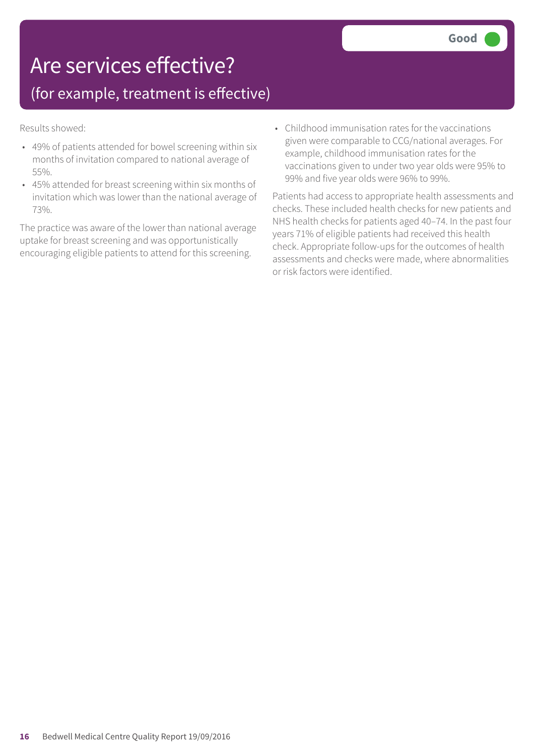### Are services effective?

### (for example, treatment is effective)

Results showed:

- 49% of patients attended for bowel screening within six months of invitation compared to national average of 55%.
- 45% attended for breast screening within six months of invitation which was lower than the national average of 73%.

The practice was aware of the lower than national average uptake for breast screening and was opportunistically encouraging eligible patients to attend for this screening.

• Childhood immunisation rates for the vaccinations given were comparable to CCG/national averages. For example, childhood immunisation rates for the vaccinations given to under two year olds were 95% to 99% and five year olds were 96% to 99%.

Patients had access to appropriate health assessments and checks. These included health checks for new patients and NHS health checks for patients aged 40–74. In the past four years 71% of eligible patients had received this health check. Appropriate follow-ups for the outcomes of health assessments and checks were made, where abnormalities or risk factors were identified.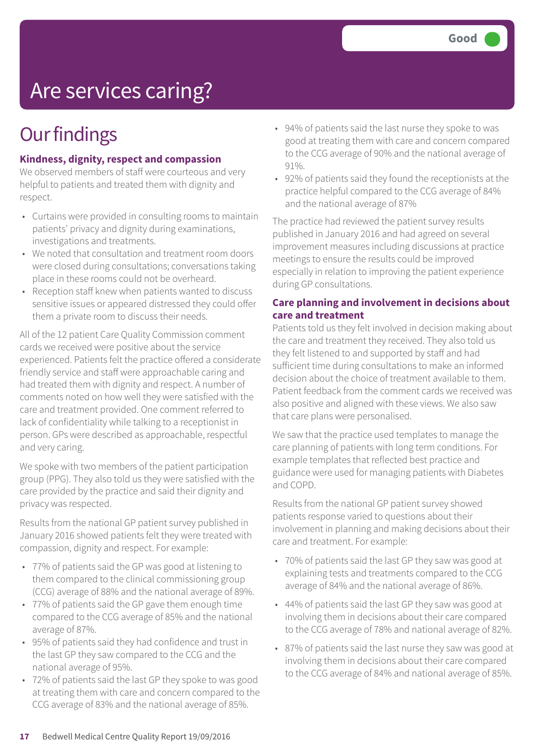## Are services caring?

## **Our findings**

#### **Kindness, dignity, respect and compassion**

We observed members of staff were courteous and very helpful to patients and treated them with dignity and respect.

- Curtains were provided in consulting rooms to maintain patients' privacy and dignity during examinations, investigations and treatments.
- We noted that consultation and treatment room doors were closed during consultations; conversations taking place in these rooms could not be overheard.
- Reception staff knew when patients wanted to discuss sensitive issues or appeared distressed they could offer them a private room to discuss their needs.

All of the 12 patient Care Quality Commission comment cards we received were positive about the service experienced. Patients felt the practice offered a considerate friendly service and staff were approachable caring and had treated them with dignity and respect. A number of comments noted on how well they were satisfied with the care and treatment provided. One comment referred to lack of confidentiality while talking to a receptionist in person. GPs were described as approachable, respectful and very caring.

We spoke with two members of the patient participation group (PPG). They also told us they were satisfied with the care provided by the practice and said their dignity and privacy was respected.

Results from the national GP patient survey published in January 2016 showed patients felt they were treated with compassion, dignity and respect. For example:

- 77% of patients said the GP was good at listening to them compared to the clinical commissioning group (CCG) average of 88% and the national average of 89%.
- 77% of patients said the GP gave them enough time compared to the CCG average of 85% and the national average of 87%.
- 95% of patients said they had confidence and trust in the last GP they saw compared to the CCG and the national average of 95%.
- 72% of patients said the last GP they spoke to was good at treating them with care and concern compared to the CCG average of 83% and the national average of 85%.
- 94% of patients said the last nurse they spoke to was good at treating them with care and concern compared to the CCG average of 90% and the national average of 91%.
- 92% of patients said they found the receptionists at the practice helpful compared to the CCG average of 84% and the national average of 87%

The practice had reviewed the patient survey results published in January 2016 and had agreed on several improvement measures including discussions at practice meetings to ensure the results could be improved especially in relation to improving the patient experience during GP consultations.

#### **Care planning and involvement in decisions about care and treatment**

Patients told us they felt involved in decision making about the care and treatment they received. They also told us they felt listened to and supported by staff and had sufficient time during consultations to make an informed decision about the choice of treatment available to them. Patient feedback from the comment cards we received was also positive and aligned with these views. We also saw that care plans were personalised.

We saw that the practice used templates to manage the care planning of patients with long term conditions. For example templates that reflected best practice and guidance were used for managing patients with Diabetes and COPD.

Results from the national GP patient survey showed patients response varied to questions about their involvement in planning and making decisions about their care and treatment. For example:

- 70% of patients said the last GP they saw was good at explaining tests and treatments compared to the CCG average of 84% and the national average of 86%.
- 44% of patients said the last GP they saw was good at involving them in decisions about their care compared to the CCG average of 78% and national average of 82%.
- 87% of patients said the last nurse they saw was good at involving them in decisions about their care compared to the CCG average of 84% and national average of 85%.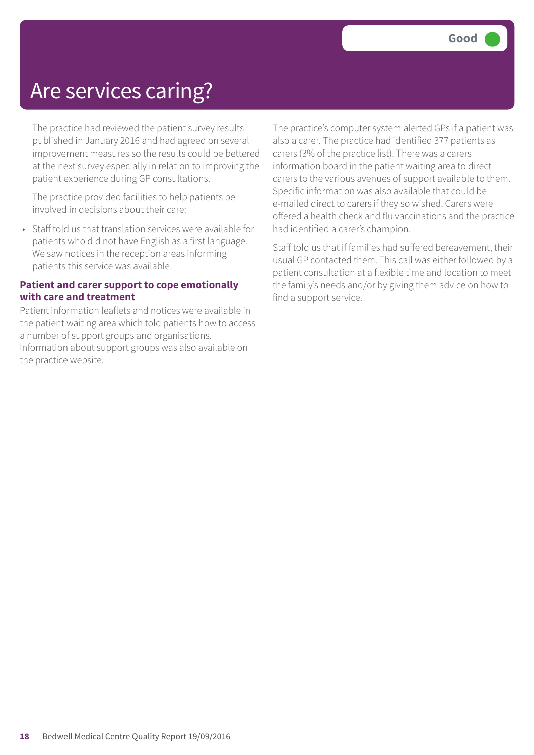### Are services caring?

The practice had reviewed the patient survey results published in January 2016 and had agreed on several improvement measures so the results could be bettered at the next survey especially in relation to improving the patient experience during GP consultations.

The practice provided facilities to help patients be involved in decisions about their care:

• Staff told us that translation services were available for patients who did not have English as a first language. We saw notices in the reception areas informing patients this service was available.

#### **Patient and carer support to cope emotionally with care and treatment**

Patient information leaflets and notices were available in the patient waiting area which told patients how to access a number of support groups and organisations. Information about support groups was also available on the practice website.

The practice's computer system alerted GPs if a patient was also a carer. The practice had identified 377 patients as carers (3% of the practice list). There was a carers information board in the patient waiting area to direct carers to the various avenues of support available to them. Specific information was also available that could be e-mailed direct to carers if they so wished. Carers were offered a health check and flu vaccinations and the practice had identified a carer's champion.

Staff told us that if families had suffered bereavement, their usual GP contacted them. This call was either followed by a patient consultation at a flexible time and location to meet the family's needs and/or by giving them advice on how to find a support service.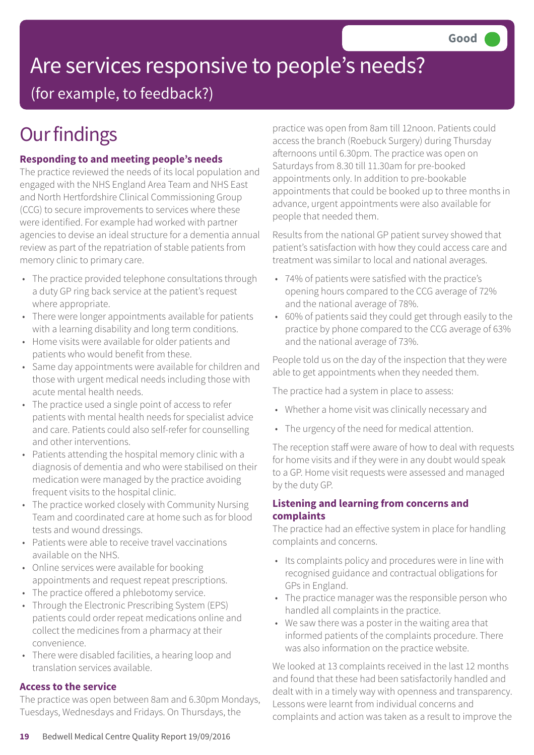# Are services responsive to people's needs?

(for example, to feedback?)

## **Our findings**

#### **Responding to and meeting people's needs**

The practice reviewed the needs of its local population and engaged with the NHS England Area Team and NHS East and North Hertfordshire Clinical Commissioning Group (CCG) to secure improvements to services where these were identified. For example had worked with partner agencies to devise an ideal structure for a dementia annual review as part of the repatriation of stable patients from memory clinic to primary care.

- The practice provided telephone consultations through a duty GP ring back service at the patient's request where appropriate.
- There were longer appointments available for patients with a learning disability and long term conditions.
- Home visits were available for older patients and patients who would benefit from these.
- Same day appointments were available for children and those with urgent medical needs including those with acute mental health needs.
- The practice used a single point of access to refer patients with mental health needs for specialist advice and care. Patients could also self-refer for counselling and other interventions.
- Patients attending the hospital memory clinic with a diagnosis of dementia and who were stabilised on their medication were managed by the practice avoiding frequent visits to the hospital clinic.
- The practice worked closely with Community Nursing Team and coordinated care at home such as for blood tests and wound dressings.
- Patients were able to receive travel vaccinations available on the NHS.
- Online services were available for booking appointments and request repeat prescriptions.
- The practice offered a phlebotomy service.
- Through the Electronic Prescribing System (EPS) patients could order repeat medications online and collect the medicines from a pharmacy at their convenience.
- There were disabled facilities, a hearing loop and translation services available.

#### **Access to the service**

The practice was open between 8am and 6.30pm Mondays, Tuesdays, Wednesdays and Fridays. On Thursdays, the

practice was open from 8am till 12noon. Patients could access the branch (Roebuck Surgery) during Thursday afternoons until 6.30pm. The practice was open on Saturdays from 8.30 till 11.30am for pre-booked appointments only. In addition to pre-bookable appointments that could be booked up to three months in advance, urgent appointments were also available for people that needed them.

Results from the national GP patient survey showed that patient's satisfaction with how they could access care and treatment was similar to local and national averages.

- 74% of patients were satisfied with the practice's opening hours compared to the CCG average of 72% and the national average of 78%.
- 60% of patients said they could get through easily to the practice by phone compared to the CCG average of 63% and the national average of 73%.

People told us on the day of the inspection that they were able to get appointments when they needed them.

The practice had a system in place to assess:

- Whether a home visit was clinically necessary and
- The urgency of the need for medical attention.

The reception staff were aware of how to deal with requests for home visits and if they were in any doubt would speak to a GP. Home visit requests were assessed and managed by the duty GP.

#### **Listening and learning from concerns and complaints**

The practice had an effective system in place for handling complaints and concerns.

- Its complaints policy and procedures were in line with recognised guidance and contractual obligations for GPs in England.
- The practice manager was the responsible person who handled all complaints in the practice.
- We saw there was a poster in the waiting area that informed patients of the complaints procedure. There was also information on the practice website.

We looked at 13 complaints received in the last 12 months and found that these had been satisfactorily handled and dealt with in a timely way with openness and transparency. Lessons were learnt from individual concerns and complaints and action was taken as a result to improve the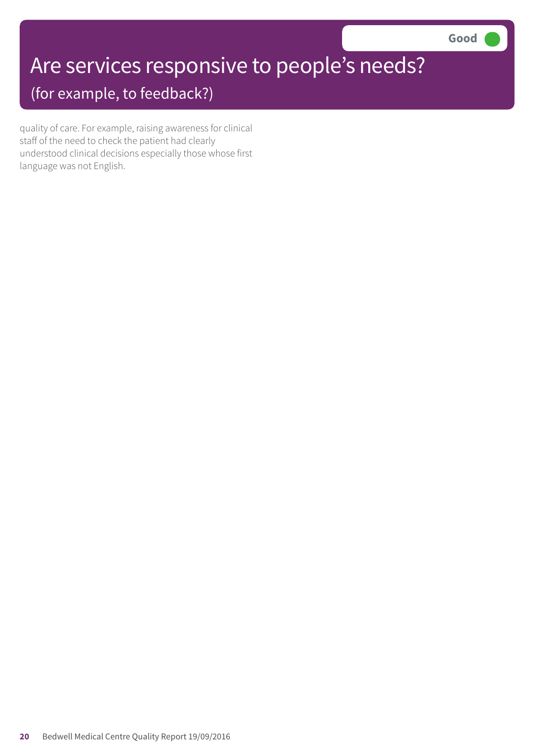## Are services responsive to people's needs?

(for example, to feedback?)

quality of care. For example, raising awareness for clinical staff of the need to check the patient had clearly understood clinical decisions especially those whose first language was not English.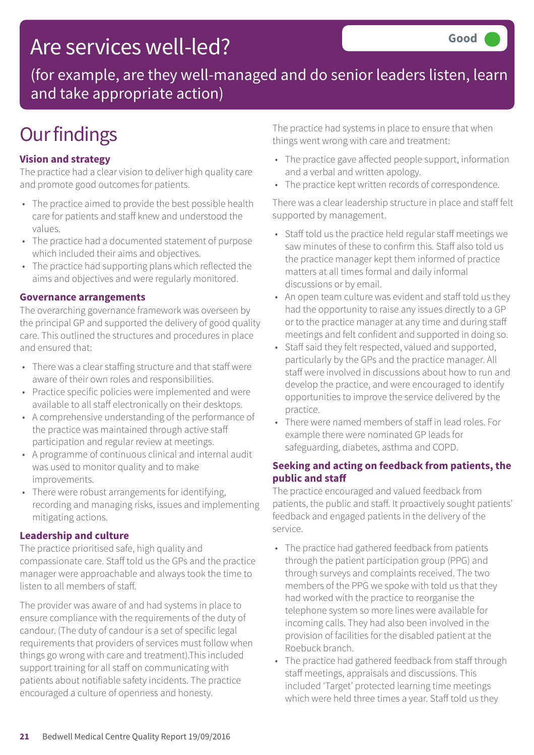### Are services well-led?

(for example, are they well-managed and do senior leaders listen, learn and take appropriate action)

## **Our findings**

#### **Vision and strategy**

The practice had a clear vision to deliver high quality care and promote good outcomes for patients.

- The practice aimed to provide the best possible health care for patients and staff knew and understood the values.
- The practice had a documented statement of purpose which included their aims and objectives.
- The practice had supporting plans which reflected the aims and objectives and were regularly monitored.

#### **Governance arrangements**

The overarching governance framework was overseen by the principal GP and supported the delivery of good quality care. This outlined the structures and procedures in place and ensured that:

- There was a clear staffing structure and that staff were aware of their own roles and responsibilities.
- Practice specific policies were implemented and were available to all staff electronically on their desktops.
- A comprehensive understanding of the performance of the practice was maintained through active staff participation and regular review at meetings.
- A programme of continuous clinical and internal audit was used to monitor quality and to make improvements.
- There were robust arrangements for identifying, recording and managing risks, issues and implementing mitigating actions.

#### **Leadership and culture**

The practice prioritised safe, high quality and compassionate care. Staff told us the GPs and the practice manager were approachable and always took the time to listen to all members of staff.

The provider was aware of and had systems in place to ensure compliance with the requirements of the duty of candour. (The duty of candour is a set of specific legal requirements that providers of services must follow when things go wrong with care and treatment).This included support training for all staff on communicating with patients about notifiable safety incidents. The practice encouraged a culture of openness and honesty.

The practice had systems in place to ensure that when things went wrong with care and treatment:

- The practice gave affected people support, information and a verbal and written apology.
- The practice kept written records of correspondence.

There was a clear leadership structure in place and staff felt supported by management.

- Staff told us the practice held regular staff meetings we saw minutes of these to confirm this. Staff also told us the practice manager kept them informed of practice matters at all times formal and daily informal discussions or by email.
- An open team culture was evident and staff told us they had the opportunity to raise any issues directly to a GP or to the practice manager at any time and during staff meetings and felt confident and supported in doing so.
- Staff said they felt respected, valued and supported, particularly by the GPs and the practice manager. All staff were involved in discussions about how to run and develop the practice, and were encouraged to identify opportunities to improve the service delivered by the practice.
- There were named members of staff in lead roles. For example there were nominated GP leads for safeguarding, diabetes, asthma and COPD.

#### **Seeking and acting on feedback from patients, the public and staff**

The practice encouraged and valued feedback from patients, the public and staff. It proactively sought patients' feedback and engaged patients in the delivery of the service.

- The practice had gathered feedback from patients through the patient participation group (PPG) and through surveys and complaints received. The two members of the PPG we spoke with told us that they had worked with the practice to reorganise the telephone system so more lines were available for incoming calls. They had also been involved in the provision of facilities for the disabled patient at the Roebuck branch.
- The practice had gathered feedback from staff through staff meetings, appraisals and discussions. This included 'Target' protected learning time meetings which were held three times a year. Staff told us they